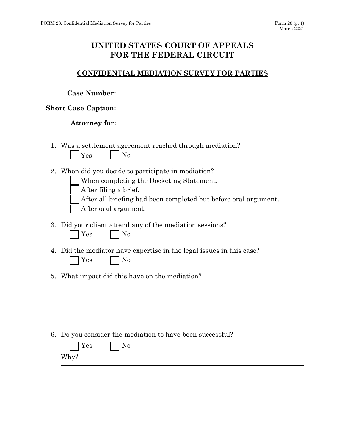## **UNITED STATES COURT OF APPEALS FOR THE FEDERAL CIRCUIT**

## **CONFIDENTIAL MEDIATION SURVEY FOR PARTIES**

| <b>Case Number:</b>                                                                                                                                                                                                 |
|---------------------------------------------------------------------------------------------------------------------------------------------------------------------------------------------------------------------|
| <b>Short Case Caption:</b>                                                                                                                                                                                          |
| <b>Attorney for:</b>                                                                                                                                                                                                |
| 1. Was a settlement agreement reached through mediation?<br>N <sub>0</sub><br>Yes                                                                                                                                   |
| 2. When did you decide to participate in mediation?<br>When completing the Docketing Statement.<br>After filing a brief.<br>After all briefing had been completed but before oral argument.<br>After oral argument. |
| 3. Did your client attend any of the mediation sessions?<br>No<br>$\rm Yes$                                                                                                                                         |
| 4. Did the mediator have expertise in the legal issues in this case?<br>Yes<br>N <sub>0</sub>                                                                                                                       |
| 5. What impact did this have on the mediation?                                                                                                                                                                      |
|                                                                                                                                                                                                                     |
| 6. Do you consider the mediation to have been successful?<br>N <sub>o</sub><br>Yes<br>Why?                                                                                                                          |
|                                                                                                                                                                                                                     |